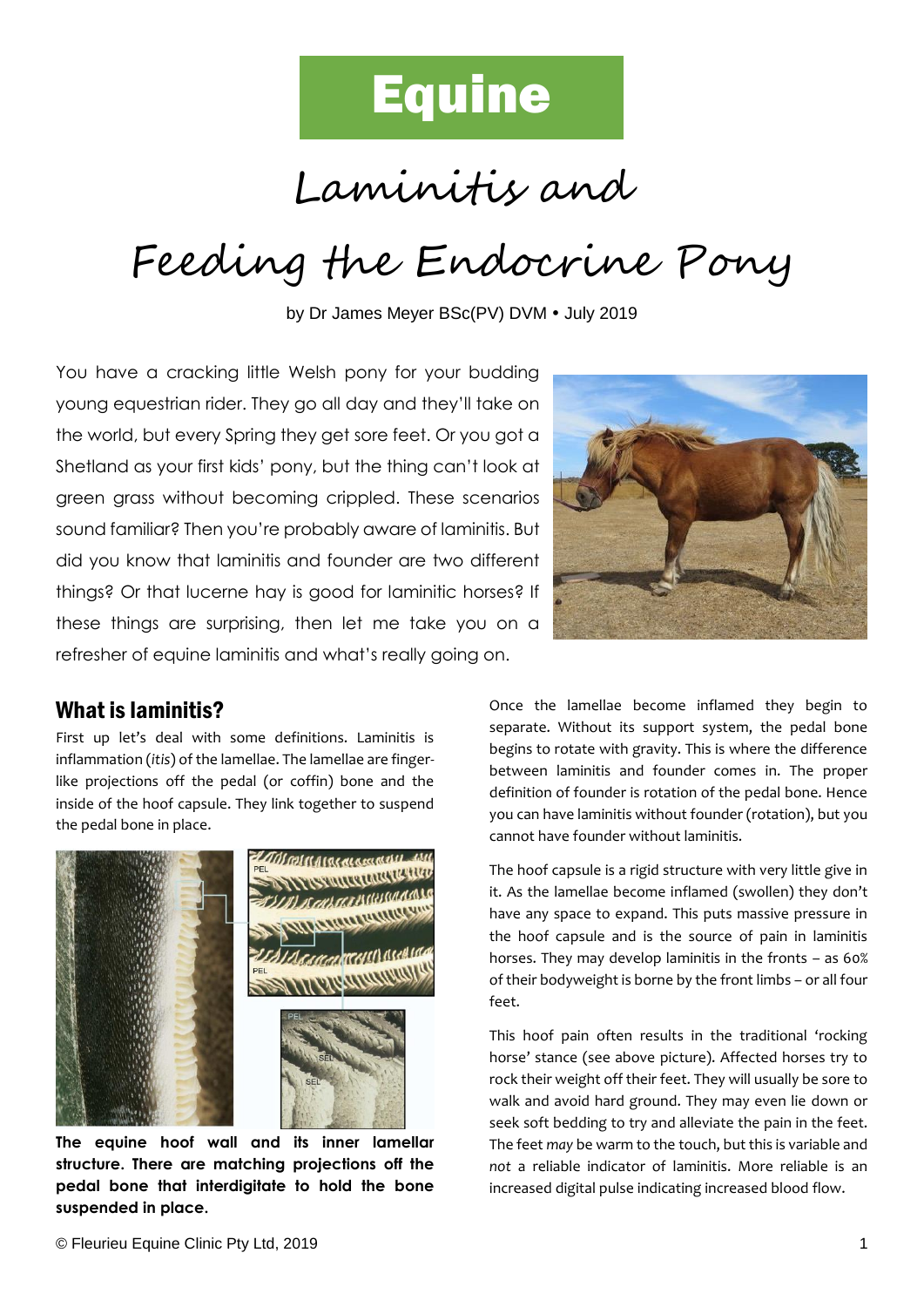

Laminitis and

# Feeding the Endocrine Pony

by Dr James Meyer BSc(PV) DVM . July 2019

You have a cracking little Welsh pony for your budding young equestrian rider. They go all day and they'll take on the world, but every Spring they get sore feet. Or you got a Shetland as your first kids' pony, but the thing can't look at green grass without becoming crippled. These scenarios sound familiar? Then you're probably aware of laminitis. But did you know that laminitis and founder are two different things? Or that lucerne hay is good for laminitic horses? If these things are surprising, then let me take you on a refresher of equine laminitis and what's really going on.



First up let's deal with some definitions. Laminitis is inflammation (*itis*) of the lamellae. The lamellae are fingerlike projections off the pedal (or coffin) bone and the inside of the hoof capsule. They link together to suspend the pedal bone in place.



**The equine hoof wall and its inner lamellar structure. There are matching projections off the pedal bone that interdigitate to hold the bone suspended in place.**



Once the lamellae become inflamed they begin to separate. Without its support system, the pedal bone begins to rotate with gravity. This is where the difference between laminitis and founder comes in. The proper definition of founder is rotation of the pedal bone. Hence you can have laminitis without founder (rotation), but you cannot have founder without laminitis.

The hoof capsule is a rigid structure with very little give in it. As the lamellae become inflamed (swollen) they don't have any space to expand. This puts massive pressure in the hoof capsule and is the source of pain in laminitis horses. They may develop laminitis in the fronts – as 60% of their bodyweight is borne by the front limbs – or all four feet.

This hoof pain often results in the traditional 'rocking horse' stance (see above picture). Affected horses try to rock their weight off their feet. They will usually be sore to walk and avoid hard ground. They may even lie down or seek soft bedding to try and alleviate the pain in the feet. The feet *may* be warm to the touch, but this is variable and *not* a reliable indicator of laminitis. More reliable is an increased digital pulse indicating increased blood flow.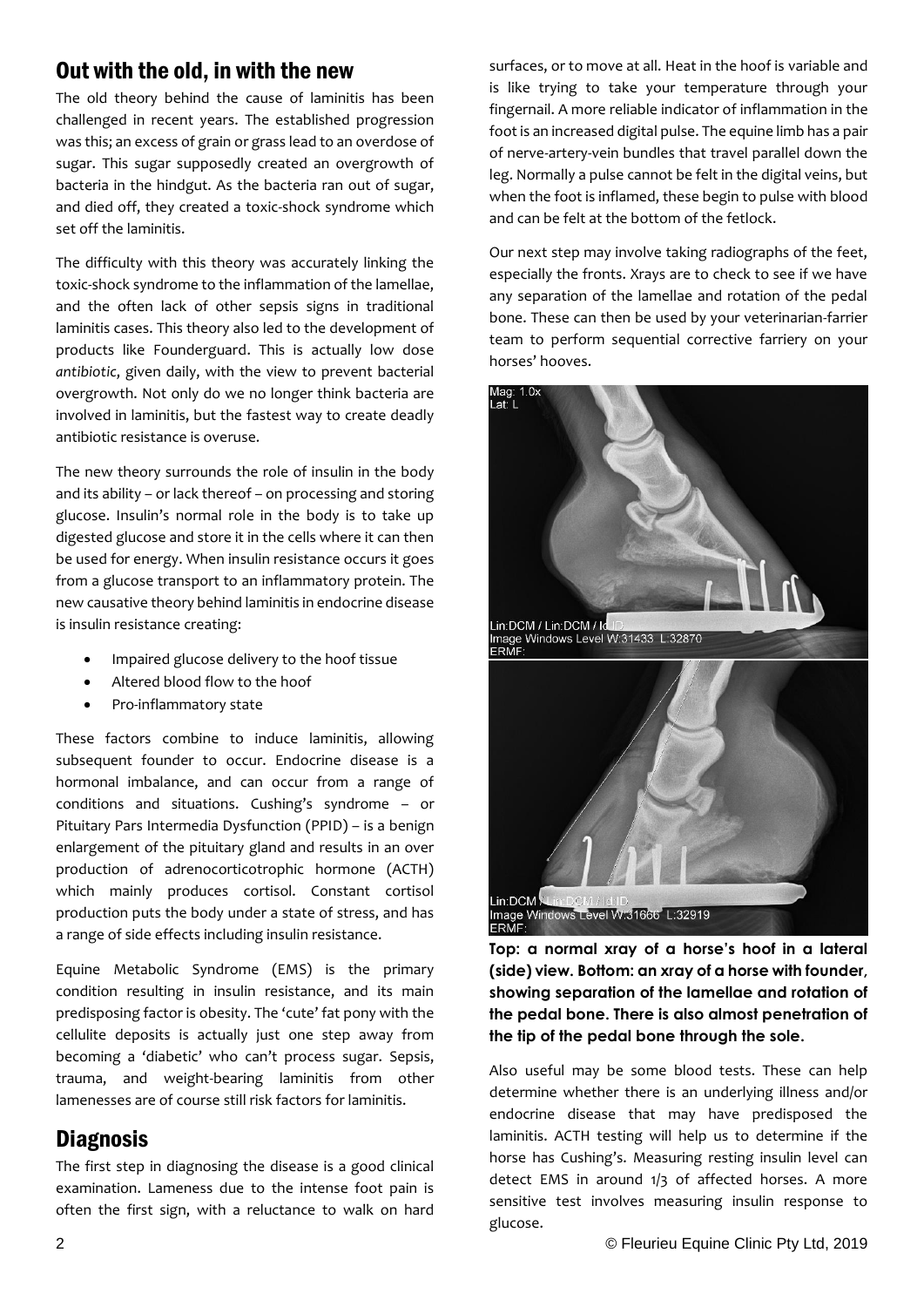# Out with the old, in with the new

The old theory behind the cause of laminitis has been challenged in recent years. The established progression was this; an excess of grain or grass lead to an overdose of sugar. This sugar supposedly created an overgrowth of bacteria in the hindgut. As the bacteria ran out of sugar, and died off, they created a toxic-shock syndrome which set off the laminitis.

The difficulty with this theory was accurately linking the toxic-shock syndrome to the inflammation of the lamellae, and the often lack of other sepsis signs in traditional laminitis cases. This theory also led to the development of products like Founderguard. This is actually low dose *antibiotic*, given daily, with the view to prevent bacterial overgrowth. Not only do we no longer think bacteria are involved in laminitis, but the fastest way to create deadly antibiotic resistance is overuse.

The new theory surrounds the role of insulin in the body and its ability – or lack thereof – on processing and storing glucose. Insulin's normal role in the body is to take up digested glucose and store it in the cells where it can then be used for energy. When insulin resistance occurs it goes from a glucose transport to an inflammatory protein. The new causative theory behind laminitis in endocrine disease is insulin resistance creating:

- Impaired glucose delivery to the hoof tissue
- Altered blood flow to the hoof
- Pro-inflammatory state

These factors combine to induce laminitis, allowing subsequent founder to occur. Endocrine disease is a hormonal imbalance, and can occur from a range of conditions and situations. Cushing's syndrome – or Pituitary Pars Intermedia Dysfunction (PPID) – is a benign enlargement of the pituitary gland and results in an over production of adrenocorticotrophic hormone (ACTH) which mainly produces cortisol. Constant cortisol production puts the body under a state of stress, and has a range of side effects including insulin resistance.

Equine Metabolic Syndrome (EMS) is the primary condition resulting in insulin resistance, and its main predisposing factor is obesity. The 'cute' fat pony with the cellulite deposits is actually just one step away from becoming a 'diabetic' who can't process sugar. Sepsis, trauma, and weight-bearing laminitis from other lamenesses are of course still risk factors for laminitis.

# **Diagnosis**

The first step in diagnosing the disease is a good clinical examination. Lameness due to the intense foot pain is often the first sign, with a reluctance to walk on hard

surfaces, or to move at all. Heat in the hoof is variable and is like trying to take your temperature through your fingernail. A more reliable indicator of inflammation in the foot is an increased digital pulse. The equine limb has a pair of nerve-artery-vein bundles that travel parallel down the leg. Normally a pulse cannot be felt in the digital veins, but when the foot is inflamed, these begin to pulse with blood and can be felt at the bottom of the fetlock.

Our next step may involve taking radiographs of the feet, especially the fronts. Xrays are to check to see if we have any separation of the lamellae and rotation of the pedal bone. These can then be used by your veterinarian-farrier team to perform sequential corrective farriery on your horses' hooves.



**Top: a normal xray of a horse's hoof in a lateral (side) view. Bottom: an xray of a horse with founder, showing separation of the lamellae and rotation of the pedal bone. There is also almost penetration of the tip of the pedal bone through the sole.**

Also useful may be some blood tests. These can help determine whether there is an underlying illness and/or endocrine disease that may have predisposed the laminitis. ACTH testing will help us to determine if the horse has Cushing's. Measuring resting insulin level can detect EMS in around 1/3 of affected horses. A more sensitive test involves measuring insulin response to glucose.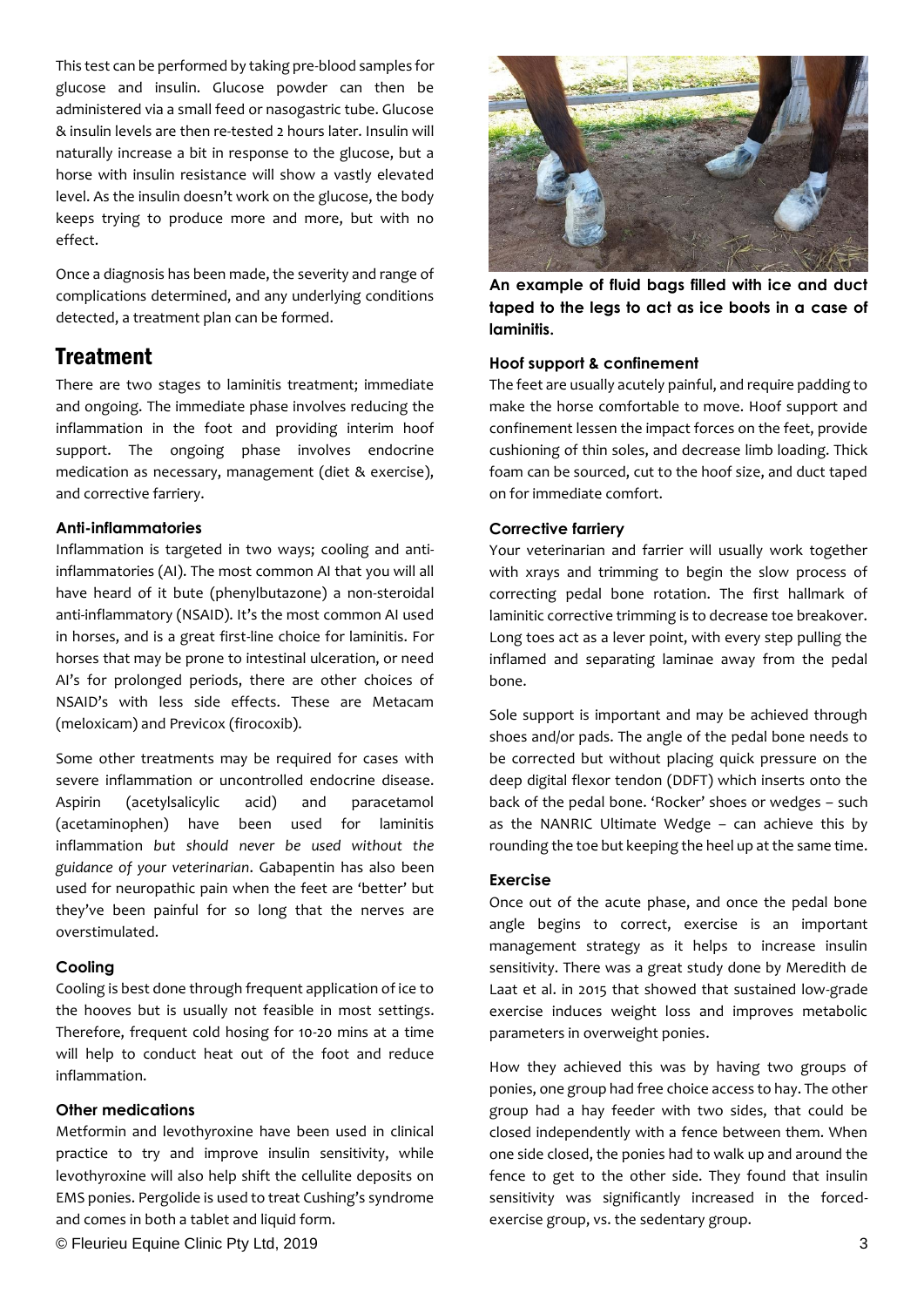This test can be performed by taking pre-blood samples for glucose and insulin. Glucose powder can then be administered via a small feed or nasogastric tube. Glucose & insulin levels are then re-tested 2 hours later. Insulin will naturally increase a bit in response to the glucose, but a horse with insulin resistance will show a vastly elevated level. As the insulin doesn't work on the glucose, the body keeps trying to produce more and more, but with no effect.

Once a diagnosis has been made, the severity and range of complications determined, and any underlying conditions detected, a treatment plan can be formed.

## **Treatment**

There are two stages to laminitis treatment; immediate and ongoing. The immediate phase involves reducing the inflammation in the foot and providing interim hoof support. The ongoing phase involves endocrine medication as necessary, management (diet & exercise), and corrective farriery.

#### **Anti-inflammatories**

Inflammation is targeted in two ways; cooling and antiinflammatories (AI). The most common AI that you will all have heard of it bute (phenylbutazone) a non-steroidal anti-inflammatory (NSAID). It's the most common AI used in horses, and is a great first-line choice for laminitis. For horses that may be prone to intestinal ulceration, or need AI's for prolonged periods, there are other choices of NSAID's with less side effects. These are Metacam (meloxicam) and Previcox (firocoxib).

Some other treatments may be required for cases with severe inflammation or uncontrolled endocrine disease. Aspirin (acetylsalicylic acid) and paracetamol (acetaminophen) have been used for laminitis inflammation *but should never be used without the guidance of your veterinarian*. Gabapentin has also been used for neuropathic pain when the feet are 'better' but they've been painful for so long that the nerves are overstimulated.

#### **Cooling**

Cooling is best done through frequent application of ice to the hooves but is usually not feasible in most settings. Therefore, frequent cold hosing for 10-20 mins at a time will help to conduct heat out of the foot and reduce inflammation.

#### **Other medications**

Metformin and levothyroxine have been used in clinical practice to try and improve insulin sensitivity, while levothyroxine will also help shift the cellulite deposits on EMS ponies. Pergolide is used to treat Cushing's syndrome and comes in both a tablet and liquid form.





**An example of fluid bags filled with ice and duct taped to the legs to act as ice boots in a case of laminitis.**

#### **Hoof support & confinement**

The feet are usually acutely painful, and require padding to make the horse comfortable to move. Hoof support and confinement lessen the impact forces on the feet, provide cushioning of thin soles, and decrease limb loading. Thick foam can be sourced, cut to the hoof size, and duct taped on for immediate comfort.

#### **Corrective farriery**

Your veterinarian and farrier will usually work together with xrays and trimming to begin the slow process of correcting pedal bone rotation. The first hallmark of laminitic corrective trimming is to decrease toe breakover. Long toes act as a lever point, with every step pulling the inflamed and separating laminae away from the pedal bone.

Sole support is important and may be achieved through shoes and/or pads. The angle of the pedal bone needs to be corrected but without placing quick pressure on the deep digital flexor tendon (DDFT) which inserts onto the back of the pedal bone. 'Rocker' shoes or wedges – such as the NANRIC Ultimate Wedge – can achieve this by rounding the toe but keeping the heel up at the same time.

#### **Exercise**

Once out of the acute phase, and once the pedal bone angle begins to correct, exercise is an important management strategy as it helps to increase insulin sensitivity. There was a great study done by Meredith de Laat et al. in 2015 that showed that sustained low-grade exercise induces weight loss and improves metabolic parameters in overweight ponies.

How they achieved this was by having two groups of ponies, one group had free choice access to hay. The other group had a hay feeder with two sides, that could be closed independently with a fence between them. When one side closed, the ponies had to walk up and around the fence to get to the other side. They found that insulin sensitivity was significantly increased in the forcedexercise group, vs. the sedentary group.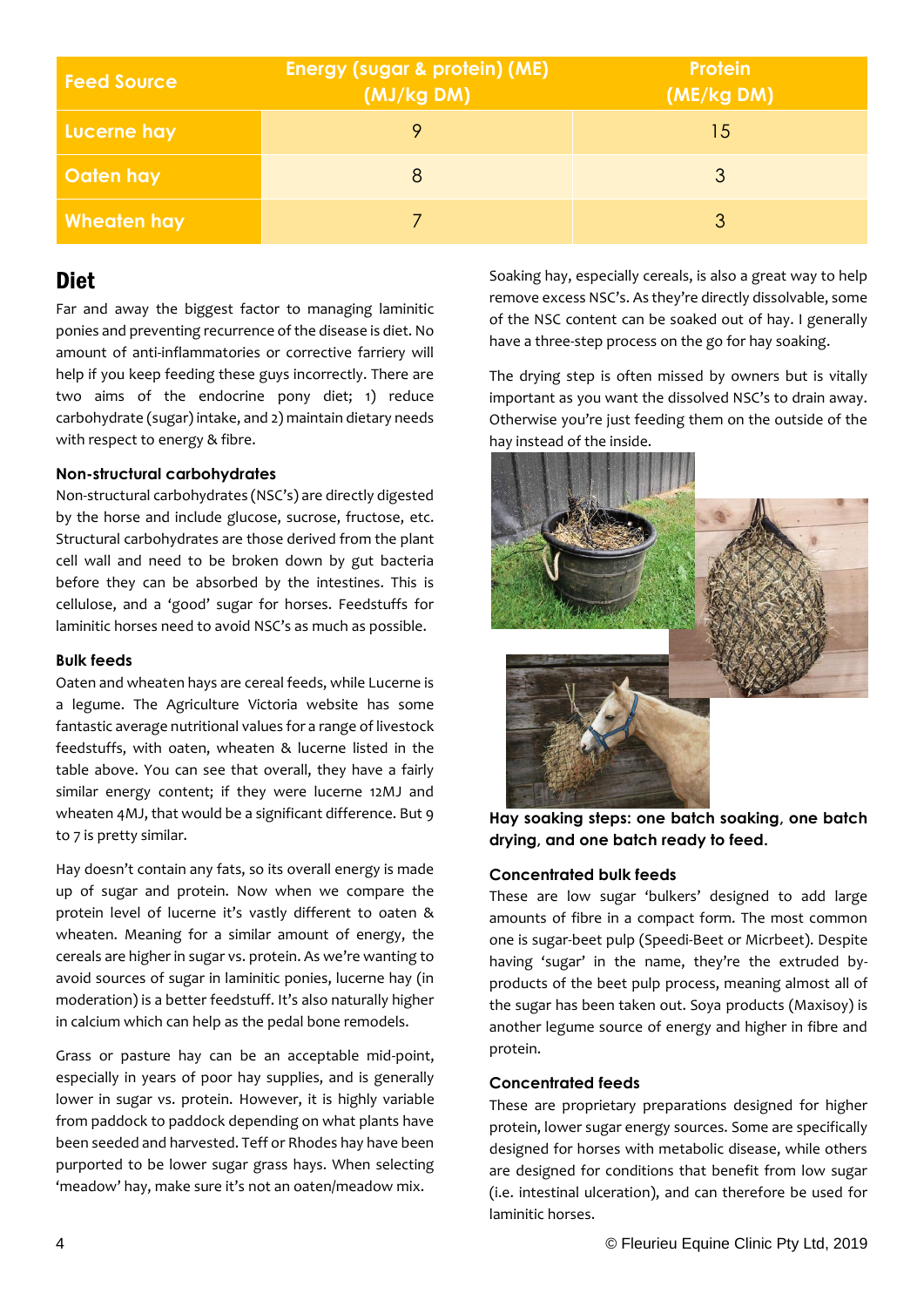| <b>Feed Source</b> | <b>Energy (sugar &amp; protein) (ME)</b><br>(MJ/kg DM) | <b>Protein</b><br>(ME/kg DM) |
|--------------------|--------------------------------------------------------|------------------------------|
| Lucerne hay        |                                                        | 15                           |
| Oaten hay          |                                                        |                              |
| Wheaten hay        |                                                        |                              |

# **Diet**

Far and away the biggest factor to managing laminitic ponies and preventing recurrence of the disease is diet. No amount of anti-inflammatories or corrective farriery will help if you keep feeding these guys incorrectly. There are two aims of the endocrine pony diet; 1) reduce carbohydrate (sugar) intake, and 2) maintain dietary needs with respect to energy & fibre.

#### **Non-structural carbohydrates**

Non-structural carbohydrates (NSC's) are directly digested by the horse and include glucose, sucrose, fructose, etc. Structural carbohydrates are those derived from the plant cell wall and need to be broken down by gut bacteria before they can be absorbed by the intestines. This is cellulose, and a 'good' sugar for horses. Feedstuffs for laminitic horses need to avoid NSC's as much as possible.

#### **Bulk feeds**

Oaten and wheaten hays are cereal feeds, while Lucerne is a legume. The Agriculture Victoria website has some fantastic average nutritional values for a range of livestock feedstuffs, with oaten, wheaten & lucerne listed in the table above. You can see that overall, they have a fairly similar energy content; if they were lucerne 12MJ and wheaten 4MJ, that would be a significant difference. But 9 to 7 is pretty similar.

Hay doesn't contain any fats, so its overall energy is made up of sugar and protein. Now when we compare the protein level of lucerne it's vastly different to oaten & wheaten. Meaning for a similar amount of energy, the cereals are higher in sugar vs. protein. As we're wanting to avoid sources of sugar in laminitic ponies, lucerne hay (in moderation) is a better feedstuff. It's also naturally higher in calcium which can help as the pedal bone remodels.

Grass or pasture hay can be an acceptable mid-point, especially in years of poor hay supplies, and is generally lower in sugar vs. protein. However, it is highly variable from paddock to paddock depending on what plants have been seeded and harvested. Teff or Rhodes hay have been purported to be lower sugar grass hays. When selecting 'meadow' hay, make sure it's not an oaten/meadow mix.

Soaking hay, especially cereals, is also a great way to help remove excess NSC's. As they're directly dissolvable, some of the NSC content can be soaked out of hay. I generally have a three-step process on the go for hay soaking.

The drying step is often missed by owners but is vitally important as you want the dissolved NSC's to drain away. Otherwise you're just feeding them on the outside of the hay instead of the inside.



**Hay soaking steps: one batch soaking, one batch drying, and one batch ready to feed.**

#### **Concentrated bulk feeds**

These are low sugar 'bulkers' designed to add large amounts of fibre in a compact form. The most common one is sugar-beet pulp (Speedi-Beet or Micrbeet). Despite having 'sugar' in the name, they're the extruded byproducts of the beet pulp process, meaning almost all of the sugar has been taken out. Soya products (Maxisoy) is another legume source of energy and higher in fibre and protein.

#### **Concentrated feeds**

These are proprietary preparations designed for higher protein, lower sugar energy sources. Some are specifically designed for horses with metabolic disease, while others are designed for conditions that benefit from low sugar (i.e. intestinal ulceration), and can therefore be used for laminitic horses.